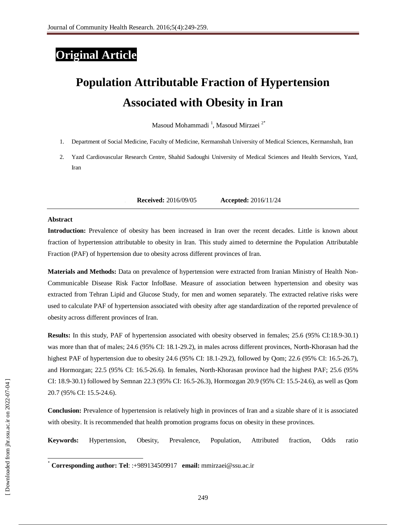## **Original Article**

# **Population Attributable Fraction of Hypertension Associated with Obesity in Iran**

Masoud Mohammadi <sup>1</sup> , Masoud Mirzaei <sup>2</sup>**٭**

- 1. Department of Social Medicine, Faculty of Medicine, Kermanshah University of Medical Sciences, Kermanshah, Iran
- 2. Yazd Cardiovascular Research Centre, Shahid Sadoughi University of Medical Sciences and Health Services, Yazd, Iran

**1. Received:** 2016/09/05 **Accepted:** 2016/11/24

#### **Abstract**

**Introduction:** Prevalence of obesity has been increased in Iran over the recent decades. Little is known about fraction of hypertension attributable to obesity in Iran. This study aimed to determine the Population Attributable Fraction (PAF) of hypertension due to obesity across different provinces of Iran.

**Materials and Methods:** Data on prevalence of hypertension were extracted from Iranian Ministry of Health Non-Communicable Disease Risk Factor InfoBase. Measure of association between hypertension and obesity was extracted from Tehran Lipid and Glucose Study, for men and women separately. The extracted relative risks were used to calculate PAF of hypertension associated with obesity after age standardization of the reported prevalence of obesity across different provinces of Iran.

**Results:** In this study, PAF of hypertension associated with obesity observed in females; 25.6 (95% CI:18.9-30.1) was more than that of males; 24.6 (95% CI: 18.1-29.2), in males across different provinces, North-Khorasan had the highest PAF of hypertension due to obesity 24.6 (95% CI: 18.1-29.2), followed by Qom; 22.6 (95% CI: 16.5-26.7), and Hormozgan; 22.5 (95% CI: 16.5-26.6). In females, North-Khorasan province had the highest PAF; 25.6 (95% CI: 18.9-30.1) followed by Semnan 22.3 (95% CI: 16.5-26.3), Hormozgan 20.9 (95% CI: 15.5-24.6), as well as Qom 20.7 (95% CI: 15.5-24.6).

**Conclusion:** Prevalence of hypertension is relatively high in provinces of Iran and a sizable share of it is associated with obesity. It is recommended that health promotion programs focus on obesity in these provinces.

**Keywords:** Hypertension, Obesity, Prevalence, Population, Attributed fraction, Odds ratio

 $\overline{a}$ 

<sup>٭</sup> **Corresponding author: Tel**: :+989134509917 **email:** mmirzaei@ssu.ac.ir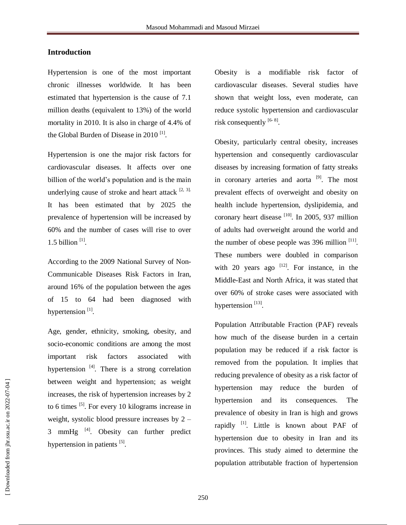#### **Introduction**

Hypertension is one of the most important chronic illnesses worldwide. It has been estimated that hypertension is the cause of 7.1 million deaths (equivalent to 13%) of the world mortality in 2010. It is also in charge of 4.4% of the Global Burden of Disease in 2010<sup>[1]</sup>.

Hypertension is one the major risk factors for cardiovascular diseases. It affects over one billion of the world's population and is the main underlying cause of stroke and heart attack  $[2, 3]$ . It has been estimated that by 2025 the prevalence of hypertension will be increased by 60% and the number of cases will rise to over  $1.5$  billion<sup>[1]</sup>.

According to the 2009 National Survey of Non-Communicable Diseases Risk Factors in Iran, around 16% of the population between the ages of 15 to 64 had been diagnosed with hypertension<sup>[1]</sup>.

Age, gender, ethnicity, smoking, obesity, and socio-economic conditions are among the most important risk factors associated with hypertension <sup>[4]</sup>. There is a strong correlation between weight and hypertension; as weight increases, the risk of hypertension increases by 2 to 6 times  $^{[5]}$ . For every 10 kilograms increase in weight, systolic blood pressure increases by 2 –  $3$  mmHg  $^{[4]}$ . Obesity can further predict hypertension in patients [5].

Obesity is a modifiable risk factor of cardiovascular diseases. Several studies have shown that weight loss, even moderate, can reduce systolic hypertension and cardiovascular risk consequently  $^{[6-8]}$ .

Obesity, particularly central obesity, increases hypertension and consequently cardiovascular diseases by increasing formation of fatty streaks in coronary arteries and aorta<sup>[9]</sup>. The most prevalent effects of overweight and obesity on health include hypertension, dyslipidemia, and coronary heart disease [10]. In 2005, 937 million of adults had overweight around the world and the number of obese people was  $396$  million  $^{[11]}$ . These numbers were doubled in comparison with 20 years ago  $[12]$ . For instance, in the Middle-East and North Africa, it was stated that over 60% of stroke cases were associated with hypertension<sup>[13]</sup>.

Population Attributable Fraction (PAF) reveals how much of the disease burden in a certain population may be reduced if a risk factor is removed from the population. It implies that reducing prevalence of obesity as a risk factor of hypertension may reduce the burden of hypertension and its consequences. The prevalence of obesity in Iran is high and grows rapidly  $^{[1]}$ . Little is known about PAF of hypertension due to obesity in Iran and its provinces. This study aimed to determine the population attributable fraction of hypertension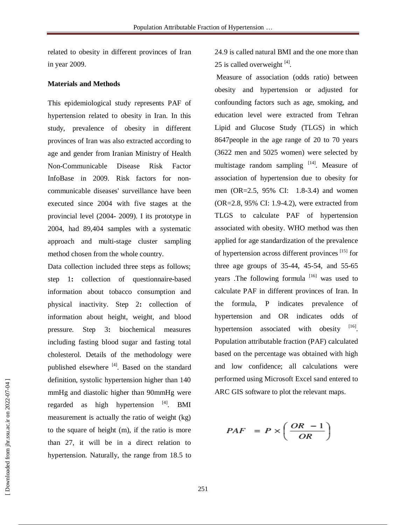related to obesity in different provinces of Iran in year 2009.

#### **Materials and Methods**

This epidemiological study represents PAF of hypertension related to obesity in Iran. In this study, prevalence of obesity in different provinces of Iran was also extracted according to age and gender from Iranian Ministry of Health Non-Communicable Disease Risk Factor InfoBase in 2009. Risk factors for noncommunicable diseases' surveillance have been executed since 2004 with five stages at the provincial level (2004- 2009). I its prototype in 2004, had 89,404 samples with a systematic approach and multi-stage cluster sampling method chosen from the whole country.

Data collection included three steps as follows; step 1**:** collection of questionnaire-based information about tobacco consumption and physical inactivity. Step 2**:** collection of information about height, weight, and blood pressure. Step 3**:** biochemical measures including fasting blood sugar and fasting total cholesterol. Details of the methodology were published elsewhere [4]. Based on the standard definition, systolic hypertension higher than 140 mmHg and diastolic higher than 90mmHg were regarded as high hypertension  $^{[4]}$ . BMI measurement is actually the ratio of weight (kg) to the square of height (m), if the ratio is more than 27, it will be in a direct relation to hypertension. Naturally, the range from 18.5 to

24.9 is called natural BMI and the one more than 25 is called overweight  $^{[4]}$ .

Measure of association (odds ratio) between obesity and hypertension or adjusted for confounding factors such as age, smoking, and education level were extracted from Tehran Lipid and Glucose Study (TLGS) in which 8647people in the age range of 20 to 70 years (3622 men and 5025 women) were selected by multistage random sampling  $[14]$ . Measure of association of hypertension due to obesity for men (OR=2.5, 95% CI: 1.8-3.4) and women (OR=2.8, 95% CI: 1.9-4.2), were extracted from TLGS to calculate PAF of hypertension associated with obesity. WHO method was then applied for age standardization of the prevalence of hypertension across different provinces<sup>[15]</sup> for three age groups of 35-44, 45-54, and 55-65 years .The following formula  $[16]$  was used to calculate PAF in different provinces of Iran. In the formula, P indicates prevalence of hypertension and OR indicates odds of hypertension associated with obesity [16] Population attributable fraction (PAF) calculated based on the percentage was obtained with high and low confidence; all calculations were performed using Microsoft Excel sand entered to ARC GIS software to plot the relevant maps.

$$
PAF = P \times \left(\frac{OR - 1}{OR}\right)
$$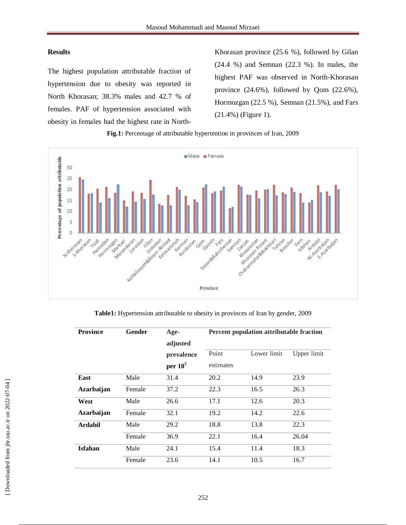#### **Results**

The highest population attributable fraction of hypertension due to obesity was reported in North Khorasan; 38.3% males and 42.7 % of females. PAF of hypertension associated with obesity in females had the highest rate in North-

Khorasan province (25.6 %), followed by Gilan (24.4 %) and Semnan (22.3 %). In males, the highest PAF was observed in North-Khorasan province (24.6%), followed by Qom (22.6%), Hormozgan (22.5 %), Semnan (21.5%), and Fars (21.4%) (Figure 1).

#### **Fig.1:** Percentage of attributable hypertention in provinces of Iran, 2009



**Table1:** Hypertension attributable to obesity in provinces of Iran by gender, 2009

| <b>Province</b>   | Gender | Age-<br>adjusted         | Percent population attributable fraction |             |             |
|-------------------|--------|--------------------------|------------------------------------------|-------------|-------------|
|                   |        | prevalence<br>per $10^5$ | Point<br>estimates                       | Lower limit | Upper limit |
| East              | Male   | 31.4                     | 20.2                                     | 14.9        | 23.9        |
| <b>Azarbaijan</b> | Female | 37.2                     | 22.3                                     | 16.5        | 26.3        |
| West              | Male   | 26.6                     | 17.1                                     | 12.6        | 20.3        |
| Azarbaijan        | Female | 32.1                     | 19.2                                     | 14.2        | 22.6        |
| <b>Ardabil</b>    | Male   | 29.2                     | 18.8                                     | 13.8        | 22.3        |
|                   | Female | 36.9                     | 22.1                                     | 16.4        | 26.04       |
| <b>Isfahan</b>    | Male   | 24.1                     | 15.4                                     | 11.4        | 18.3        |
|                   | Female | 23.6                     | 14.1                                     | 10.5        | 16.7        |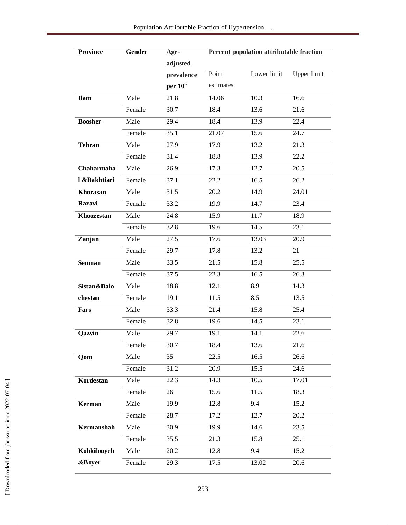| <b>Province</b>   | Gender | Age-              | Percent population attributable fraction |             |                    |
|-------------------|--------|-------------------|------------------------------------------|-------------|--------------------|
|                   |        | adjusted          |                                          |             |                    |
|                   |        | prevalence        | Point                                    | Lower limit | <b>Upper limit</b> |
|                   |        | per $10^5$        | estimates                                |             |                    |
| <b>Ilam</b>       | Male   | 21.8              | 14.06                                    | 10.3        | 16.6               |
|                   | Female | 30.7              | 18.4                                     | 13.6        | 21.6               |
| <b>Boosher</b>    | Male   | 29.4              | 18.4                                     | 13.9        | 22.4               |
|                   | Female | 35.1              | 21.07                                    | 15.6        | 24.7               |
| <b>Tehran</b>     | Male   | 27.9              | 17.9                                     | 13.2        | 21.3               |
|                   | Female | 31.4              | 18.8                                     | 13.9        | 22.2               |
| Chaharmaha        | Male   | 26.9              | 17.3                                     | 12.7        | 20.5               |
| l &Bakhtiari      | Female | 37.1              | 22.2                                     | 16.5        | 26.2               |
| <b>Khorasan</b>   | Male   | 31.5              | 20.2                                     | 14.9        | 24.01              |
| Razavi            | Female | 33.2              | 19.9                                     | 14.7        | 23.4               |
| Khoozestan        | Male   | 24.8              | 15.9                                     | 11.7        | 18.9               |
|                   | Female | 32.8              | 19.6                                     | 14.5        | 23.1               |
| Zanjan            | Male   | 27.5              | 17.6                                     | 13.03       | 20.9               |
|                   | Female | 29.7              | 17.8                                     | 13.2        | 21                 |
| <b>Semnan</b>     | Male   | 33.5              | 21.5                                     | 15.8        | 25.5               |
|                   | Female | 37.5              | 22.3                                     | 16.5        | 26.3               |
| Sistan&Balo       | Male   | 18.8              | 12.1                                     | 8.9         | 14.3               |
| chestan           | Female | 19.1              | 11.5                                     | 8.5         | 13.5               |
| Fars              | Male   | 33.3              | 21.4                                     | 15.8        | 25.4               |
|                   | Female | 32.8              | 19.6                                     | 14.5        | 23.1               |
| Qazvin            | Male   | 29.7              | 19.1                                     | 14.1        | 22.6               |
|                   | Female | $\overline{30.7}$ | 18.4                                     | 13.6        | 21.6               |
| Qom               | Male   | 35                | 22.5                                     | 16.5        | 26.6               |
|                   | Female | 31.2              | 20.9                                     | 15.5        | 24.6               |
| Kordestan         | Male   | 22.3              | 14.3                                     | 10.5        | 17.01              |
|                   | Female | 26                | 15.6                                     | 11.5        | 18.3               |
| Kerman            | Male   | 19.9              | 12.8                                     | 9.4         | 15.2               |
|                   | Female | 28.7              | 17.2                                     | 12.7        | 20.2               |
| Kermanshah        | Male   | 30.9              | 19.9                                     | 14.6        | 23.5               |
|                   | Female | 35.5              | 21.3                                     | 15.8        | 25.1               |
| Kohkilooyeh       | Male   | 20.2              | 12.8                                     | 9.4         | 15.2               |
| <b>&amp;Boyer</b> | Female | 29.3              | 17.5                                     | 13.02       | 20.6               |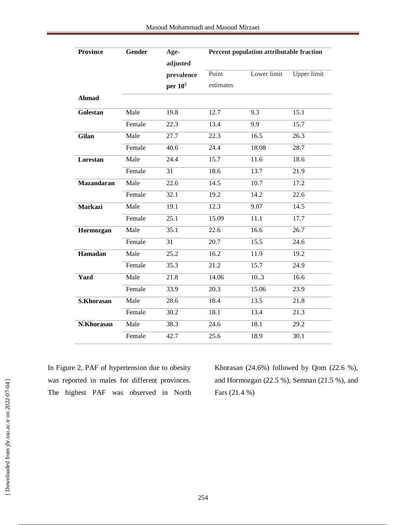| <b>Province</b>   | <b>Gender</b> | Age-              | Percent population attributable fraction |             |                    |
|-------------------|---------------|-------------------|------------------------------------------|-------------|--------------------|
|                   |               | adjusted          |                                          |             |                    |
|                   |               | prevalence        | Point                                    | Lower limit | <b>Upper limit</b> |
|                   |               | per $10^5$        | estimates                                |             |                    |
| <b>Ahmad</b>      |               |                   |                                          |             |                    |
| Golestan          | Male          | 19.8              | 12.7                                     | 9.3         | 15.1               |
|                   | Female        | 22.3              | 13.4                                     | 9.9         | 15.7               |
| Gilan             | Male          | 27.7              | 22.3                                     | 16.5        | 26.3               |
|                   | Female        | 40.6              | 24.4                                     | 18.08       | 28.7               |
| Lorestan          | Male          | 24.4              | 15.7                                     | 11.6        | 18.6               |
|                   | Female        | 31                | 18.6                                     | 13.7        | 21.9               |
| <b>Mazandaran</b> | Male          | 22.6              | 14.5                                     | 10.7        | 17.2               |
|                   | Female        | 32.1              | 19.2                                     | 14.2        | 22.6               |
| <b>Markazi</b>    | Male          | 19.1              | 12.3                                     | 9.07        | 14.5               |
|                   | Female        | 25.1              | 15.09                                    | 11.1        | 17.7               |
| Hormozgan         | Male          | 35.1              | 22.6                                     | 16.6        | 26.7               |
|                   | Female        | 31                | 20.7                                     | 15.5        | 24.6               |
| Hamadan           | Male          | $\overline{25.2}$ | 16.2                                     | 11.9        | 19.2               |
|                   | Female        | 35.3              | 21.2                                     | 15.7        | 24.9               |
| Yazd              | Male          | 21.8              | 14.06                                    | 10.3        | 16.6               |
|                   | Female        | 33.9              | 20.3                                     | 15.06       | 23.9               |
| <b>S.Khorasan</b> | Male          | 28.6              | 18.4                                     | 13.5        | 21.8               |
|                   | Female        | 30.2              | 18.1                                     | 13.4        | 21.3               |
| N.Khorasan        | Male          | 38.3              | 24.6                                     | 18.1        | 29.2               |
|                   | Female        | 42.7              | 25.6                                     | 18.9        | 30.1               |

In Figure 2, PAF of hypertension due to obesity was reported in males for different provinces. The highest PAF was observed in North Khorasan (24.6%) followed by Qom (22.6 %), and Hormozgan (22.5 %), Semnan (21.5 %), and Fars (21.4 %)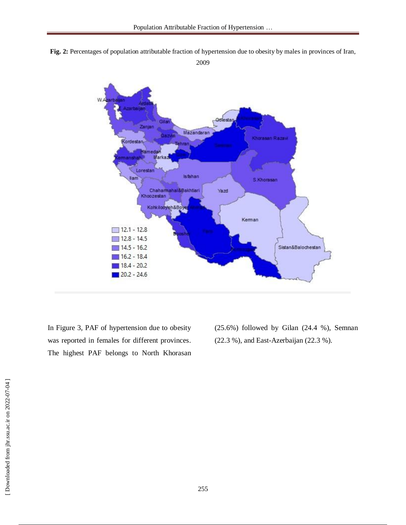





In Figure 3, PAF of hypertension due to obesity was reported in females for different provinces. The highest PAF belongs to North Khorasan (25.6%) followed by Gilan (24.4 %), Semnan (22.3 %), and East-Azerbaijan (22.3 %).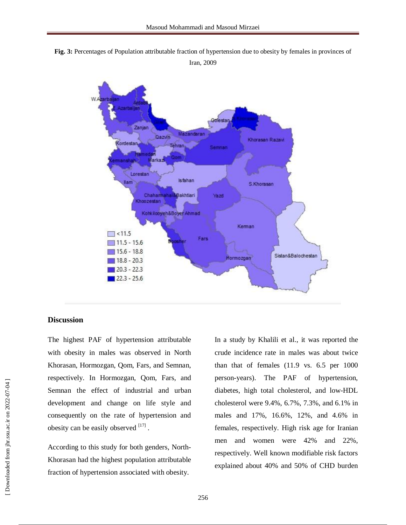**Fig. 3:** Percentages of Population attributable fraction of hypertension due to obesity by females in provinces of

Iran, 2009



#### **Discussion**

The highest PAF of hypertension attributable with obesity in males was observed in North Khorasan, Hormozgan, Qom, Fars, and Semnan, respectively. In Hormozgan, Qom, Fars, and Semnan the effect of industrial and urban development and change on life style and consequently on the rate of hypertension and obesity can be easily observed  $[17]$ .

According to this study for both genders, North-Khorasan had the highest population attributable fraction of hypertension associated with obesity.

In a study by Khalili et al., it was reported the crude incidence rate in males was about twice than that of females (11.9 vs. 6.5 per 1000 person-years). The PAF of hypertension, diabetes, high total cholesterol, and low-HDL cholesterol were 9.4%, 6.7%, 7.3%, and 6.1% in males and 17%, 16.6%, 12%, and 4.6% in females, respectively. High risk age for Iranian men and women were 42% and 22%, respectively. Well known modifiable risk factors explained about 40% and 50% of CHD burden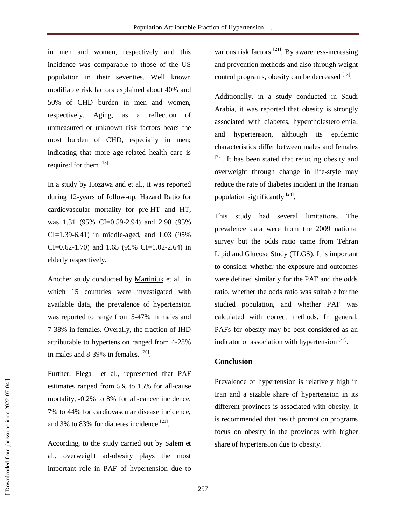in men and women, respectively and this incidence was comparable to those of the US population in their seventies. Well known modifiable risk factors explained about 40% and 50% of CHD burden in men and women, respectively. Aging, as a reflection of unmeasured or unknown risk factors bears the most burden of CHD, especially in men; indicating that more age-related health care is required for them [18].

In a study by Hozawa and et al., it was reported during 12-years of follow-up, Hazard Ratio for cardiovascular mortality for pre-HT and HT, was 1.31 (95% CI=0.59-2.94) and 2.98 (95% CI=1.39-6.41) in middle-aged, and 1.03 (95% CI=0.62-1.70) and 1.65 (95% CI=1.02-2.64) in elderly respectively.

Another study conducted by [Martiniuk](http://www.ncbi.nlm.nih.gov/pubmed/?term=Martiniuk%20AL%5BAuthor%5D&cauthor=true&cauthor_uid=17143176) et al., in which 15 countries were investigated with available data, the prevalence of hypertension was reported to range from 5-47% in males and 7-38% in females. Overally, the fraction of IHD attributable to hypertension ranged from 4-28% in males and 8-39% in females.  $[20]$ .

Further, [Flega](http://www.ncbi.nlm.nih.gov/pubmed/?term=Flegal%20KM%5BAuthor%5D&cauthor=true&cauthor_uid=25511307) et al., represented that PAF estimates ranged from 5% to 15% for all-cause mortality, -0.2% to 8% for all-cancer incidence, 7% to 44% for cardiovascular disease incidence, and 3% to 83% for diabetes incidence  $^{[23]}$ .

According, to the study carried out by Salem et al., overweight ad-obesity plays the most important role in PAF of hypertension due to various risk factors  $^{[21]}$ . By awareness-increasing and prevention methods and also through weight control programs, obesity can be decreased [13].

Additionally, in a study conducted in Saudi Arabia, it was reported that obesity is strongly associated with diabetes, hypercholesterolemia, and hypertension, although its epidemic characteristics differ between males and females <sup>[22]</sup>. It has been stated that reducing obesity and overweight through change in life-style may reduce the rate of diabetes incident in the Iranian population significantly  $^{[24]}$ .

This study had several limitations. The prevalence data were from the 2009 national survey but the odds ratio came from Tehran Lipid and Glucose Study (TLGS). It is important to consider whether the exposure and outcomes were defined similarly for the PAF and the odds ratio, whether the odds ratio was suitable for the studied population, and whether PAF was calculated with correct methods. In general, PAFs for obesity may be best considered as an indicator of association with hypertension  $^{[22]}$ .

#### **Conclusion**

Prevalence of hypertension is relatively high in Iran and a sizable share of hypertension in its different provinces is associated with obesity. It is recommended that health promotion programs focus on obesity in the provinces with higher share of hypertension due to obesity.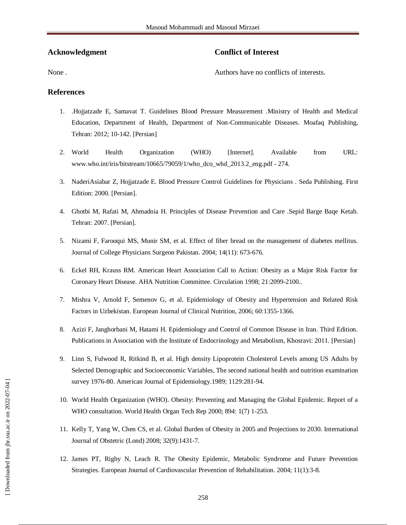#### **Acknowledgment**

### **Conflict of Interest**

None .

Authors have no conflicts of interests.

#### **References**

- 1. .Hojjatzade E, Samavat T. Guidelines Blood Pressure Measurement .Ministry of Health and Medical Education, Department of Health, Department of Non-Communicable Diseases. Moafaq Publishing, Tehran: 2012; 10-142. [Persian]
- 2. World Health Organization (WHO) [Internet]. Available from URL: www.who.int/iris/bitstream/10665/79059/1/who\_dco\_whd\_2013.2\_eng.pdf - 274.
- 3. NaderiAsiabar Z, Hojjatzade E. Blood Pressure Control Guidelines for Physicians . Seda Publishing. First Edition: 2000. [Persian].
- 4. Ghotbi M, Rafati M, Ahmadnia H. Principles of Disease Prevention and Care .Sepid Barge Baqe Ketab. Tehran: 2007. [Persian].
- 5. Nizami F, Farooqui MS, Munir SM, et al. Effect of fiber bread on the management of diabetes mellitus. Journal of College Physicians Surgeon Pakistan. 2004; 14(11): 673-676.
- 6. Eckel RH, Krauss RM. American Heart Association Call to Action: Obesity as a Major Risk Factor for Coronary Heart Disease. AHA Nutrition Committee. Circulation 1998; 21:2099-2100..
- 7. Mishra V, Arnold F, Semenov G, et al. Epidemiology of Obesity and Hypertension and Related Risk Factors in Uzbekistan. European Journal of Clinical Nutrition, 2006; 60:1355-1366.
- 8. Azizi F, Janghorbani M, Hatami H. Epidemiology and Control of Common Disease in Iran. Third Edition. Publications in Association with the Institute of Endocrinology and Metabolism, Khosravi: 2011. [Persian]
- 9. Linn S, Fulwood R, Ritkind B, et al. High density Lipoprotein Cholesterol Levels among US Adults by Selected Demographic and Socioeconomic Variables, The second national health and nutrition examination survey 1976-80. American Journal of Epidemiology.1989; 1129:281-94.
- 10. World Health Organization (WHO). Obesity: Preventing and Managing the Global Epidemic. Report of a WHO consultation. World Health Organ Tech Rep 2000; 894: 1(7) 1-253.
- 11. Kelly T, Yang W, Chen CS, et al. Global Burden of Obesity in 2005 and Projections to 2030. International Journal of Obstetric (Lond) 2008; 32(9):1431-7.
- 12. James PT, Rigby N, Leach R. The Obesity Epidemic, Metabolic Syndrome and Future Prevention Strategies. European Journal of Cardiovascular Prevention of Rehabilitation. 2004; 11(1):3-8.